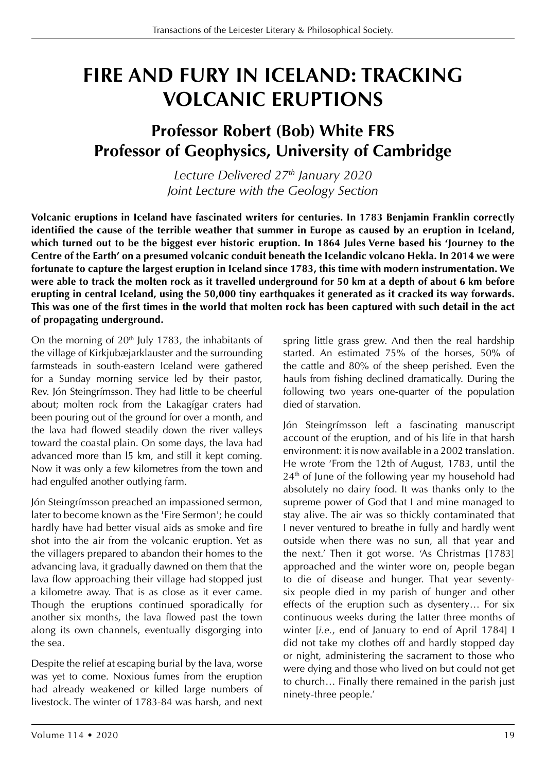## **FIRE AND FURY IN ICELAND: TRACKING VOLCANIC ERUPTIONS**

## **Professor Robert (Bob) White FRS Professor of Geophysics, University of Cambridge**

*Lecture Delivered 27th January 2020 Joint Lecture with the Geology Section*

**Volcanic eruptions in Iceland have fascinated writers for centuries. In 1783 Benjamin Franklin correctly identified the cause of the terrible weather that summer in Europe as caused by an eruption in Iceland, which turned out to be the biggest ever historic eruption. In 1864 Jules Verne based his 'Journey to the Centre of the Earth' on a presumed volcanic conduit beneath the Icelandic volcano Hekla. In 2014 we were fortunate to capture the largest eruption in Iceland since 1783, this time with modern instrumentation. We were able to track the molten rock as it travelled underground for 50 km at a depth of about 6 km before erupting in central Iceland, using the 50,000 tiny earthquakes it generated as it cracked its way forwards. This was one of the first times in the world that molten rock has been captured with such detail in the act of propagating underground.**

On the morning of  $20<sup>th</sup>$  July 1783, the inhabitants of the village of Kirkjubæjarklauster and the surrounding farmsteads in south-eastern Iceland were gathered for a Sunday morning service led by their pastor, Rev. Jón Steingrímsson. They had little to be cheerful about; molten rock from the Lakagígar craters had been pouring out of the ground for over a month, and the lava had flowed steadily down the river valleys toward the coastal plain. On some days, the lava had advanced more than l5 km, and still it kept coming. Now it was only a few kilometres from the town and had engulfed another outlying farm.

Jón Steingrímsson preached an impassioned sermon, later to become known as the 'Fire Sermon'; he could hardly have had better visual aids as smoke and fire shot into the air from the volcanic eruption. Yet as the villagers prepared to abandon their homes to the advancing lava, it gradually dawned on them that the lava flow approaching their village had stopped just a kilometre away. That is as close as it ever came. Though the eruptions continued sporadically for another six months, the lava flowed past the town along its own channels, eventually disgorging into the sea.

Despite the relief at escaping burial by the lava, worse was yet to come. Noxious fumes from the eruption had already weakened or killed large numbers of livestock. The winter of 1783-84 was harsh, and next spring little grass grew. And then the real hardship started. An estimated 75% of the horses, 50% of the cattle and 80% of the sheep perished. Even the hauls from fishing declined dramatically. During the following two years one-quarter of the population died of starvation.

Jón Steingrímsson left a fascinating manuscript account of the eruption, and of his life in that harsh environment: it is now available in a 2002 translation. He wrote 'From the 12th of August, 1783, until the 24<sup>th</sup> of June of the following year my household had absolutely no dairy food. It was thanks only to the supreme power of God that I and mine managed to stay alive. The air was so thickly contaminated that I never ventured to breathe in fully and hardly went outside when there was no sun, all that year and the next.' Then it got worse. 'As Christmas [1783] approached and the winter wore on, people began to die of disease and hunger. That year seventysix people died in my parish of hunger and other effects of the eruption such as dysentery… For six continuous weeks during the latter three months of winter [*i.e.*, end of January to end of April 1784] I did not take my clothes off and hardly stopped day or night, administering the sacrament to those who were dying and those who lived on but could not get to church… Finally there remained in the parish just ninety-three people.'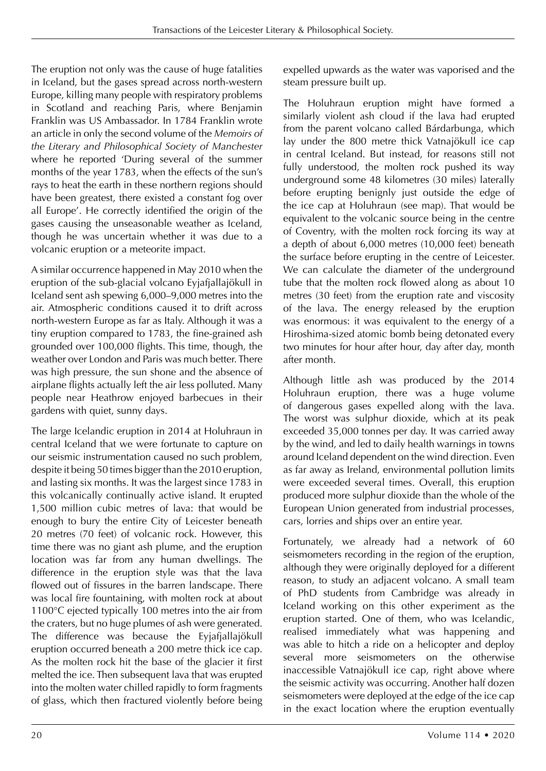The eruption not only was the cause of huge fatalities in Iceland, but the gases spread across north-western Europe, killing many people with respiratory problems in Scotland and reaching Paris, where Benjamin Franklin was US Ambassador. In 1784 Franklin wrote an article in only the second volume of the *Memoirs of the Literary and Philosophical Society of Manchester* where he reported 'During several of the summer months of the year 1783, when the effects of the sun's rays to heat the earth in these northern regions should have been greatest, there existed a constant fog over all Europe'. He correctly identified the origin of the gases causing the unseasonable weather as Iceland, though he was uncertain whether it was due to a volcanic eruption or a meteorite impact.

A similar occurrence happened in May 2010 when the eruption of the sub-glacial volcano Eyjafjallajökull in Iceland sent ash spewing 6,000–9,000 metres into the air. Atmospheric conditions caused it to drift across north-western Europe as far as Italy. Although it was a tiny eruption compared to 1783, the fine-grained ash grounded over 100,000 flights. This time, though, the weather over London and Paris was much better. There was high pressure, the sun shone and the absence of airplane flights actually left the air less polluted. Many people near Heathrow enjoyed barbecues in their gardens with quiet, sunny days.

The large Icelandic eruption in 2014 at Holuhraun in central Iceland that we were fortunate to capture on our seismic instrumentation caused no such problem, despite it being 50 times bigger than the 2010 eruption, and lasting six months. It was the largest since 1783 in this volcanically continually active island. It erupted 1,500 million cubic metres of lava: that would be enough to bury the entire City of Leicester beneath 20 metres (70 feet) of volcanic rock. However, this time there was no giant ash plume, and the eruption location was far from any human dwellings. The difference in the eruption style was that the lava flowed out of fissures in the barren landscape. There was local fire fountaining, with molten rock at about 1100°C ejected typically 100 metres into the air from the craters, but no huge plumes of ash were generated. The difference was because the Eyjafjallajökull eruption occurred beneath a 200 metre thick ice cap. As the molten rock hit the base of the glacier it first melted the ice. Then subsequent lava that was erupted into the molten water chilled rapidly to form fragments of glass, which then fractured violently before being

expelled upwards as the water was vaporised and the steam pressure built up.

The Holuhraun eruption might have formed a similarly violent ash cloud if the lava had erupted from the parent volcano called Bárdarbunga, which lay under the 800 metre thick Vatnajökull ice cap in central Iceland. But instead, for reasons still not fully understood, the molten rock pushed its way underground some 48 kilometres (30 miles) laterally before erupting benignly just outside the edge of the ice cap at Holuhraun (see map). That would be equivalent to the volcanic source being in the centre of Coventry, with the molten rock forcing its way at a depth of about 6,000 metres (10,000 feet) beneath the surface before erupting in the centre of Leicester. We can calculate the diameter of the underground tube that the molten rock flowed along as about 10 metres (30 feet) from the eruption rate and viscosity of the lava. The energy released by the eruption was enormous: it was equivalent to the energy of a Hiroshima-sized atomic bomb being detonated every two minutes for hour after hour, day after day, month after month.

Although little ash was produced by the 2014 Holuhraun eruption, there was a huge volume of dangerous gases expelled along with the lava. The worst was sulphur dioxide, which at its peak exceeded 35,000 tonnes per day. It was carried away by the wind, and led to daily health warnings in towns around Iceland dependent on the wind direction. Even as far away as Ireland, environmental pollution limits were exceeded several times. Overall, this eruption produced more sulphur dioxide than the whole of the European Union generated from industrial processes, cars, lorries and ships over an entire year.

Fortunately, we already had a network of 60 seismometers recording in the region of the eruption, although they were originally deployed for a different reason, to study an adjacent volcano. A small team of PhD students from Cambridge was already in Iceland working on this other experiment as the eruption started. One of them, who was Icelandic, realised immediately what was happening and was able to hitch a ride on a helicopter and deploy several more seismometers on the otherwise inaccessible Vatnajökull ice cap, right above where the seismic activity was occurring. Another half dozen seismometers were deployed at the edge of the ice cap in the exact location where the eruption eventually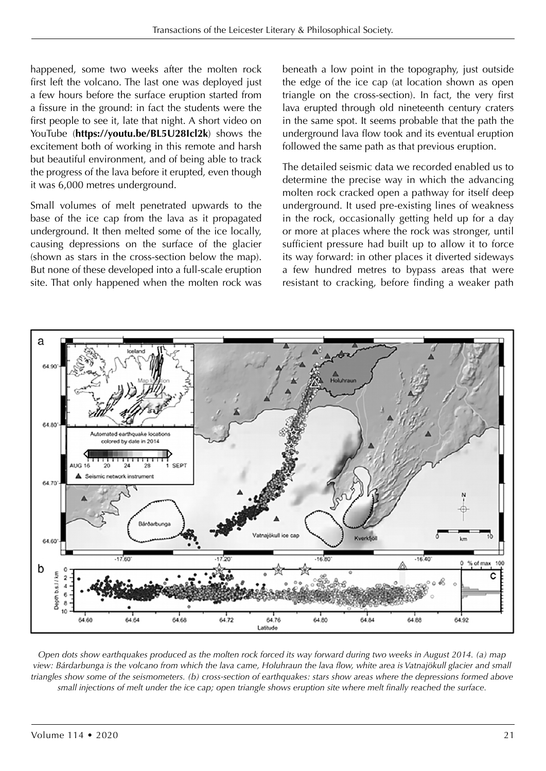happened, some two weeks after the molten rock first left the volcano. The last one was deployed just a few hours before the surface eruption started from a fissure in the ground: in fact the students were the first people to see it, late that night. A short video on YouTube (**https://youtu.be/BL5U28Icl2k**) shows the excitement both of working in this remote and harsh but beautiful environment, and of being able to track the progress of the lava before it erupted, even though it was 6,000 metres underground.

Small volumes of melt penetrated upwards to the base of the ice cap from the lava as it propagated underground. It then melted some of the ice locally, causing depressions on the surface of the glacier (shown as stars in the cross-section below the map). But none of these developed into a full-scale eruption site. That only happened when the molten rock was beneath a low point in the topography, just outside the edge of the ice cap (at location shown as open triangle on the cross-section). In fact, the very first lava erupted through old nineteenth century craters in the same spot. It seems probable that the path the underground lava flow took and its eventual eruption followed the same path as that previous eruption.

The detailed seismic data we recorded enabled us to determine the precise way in which the advancing molten rock cracked open a pathway for itself deep underground. It used pre-existing lines of weakness in the rock, occasionally getting held up for a day or more at places where the rock was stronger, until sufficient pressure had built up to allow it to force its way forward: in other places it diverted sideways a few hundred metres to bypass areas that were resistant to cracking, before finding a weaker path



*Open dots show earthquakes produced as the molten rock forced its way forward during two weeks in August 2014. (a) map view: Bárdarbunga is the volcano from which the lava came, Holuhraun the lava flow, white area is Vatnajökull glacier and small triangles show some of the seismometers. (b) cross-section of earthquakes: stars show areas where the depressions formed above small injections of melt under the ice cap; open triangle shows eruption site where melt finally reached the surface.*